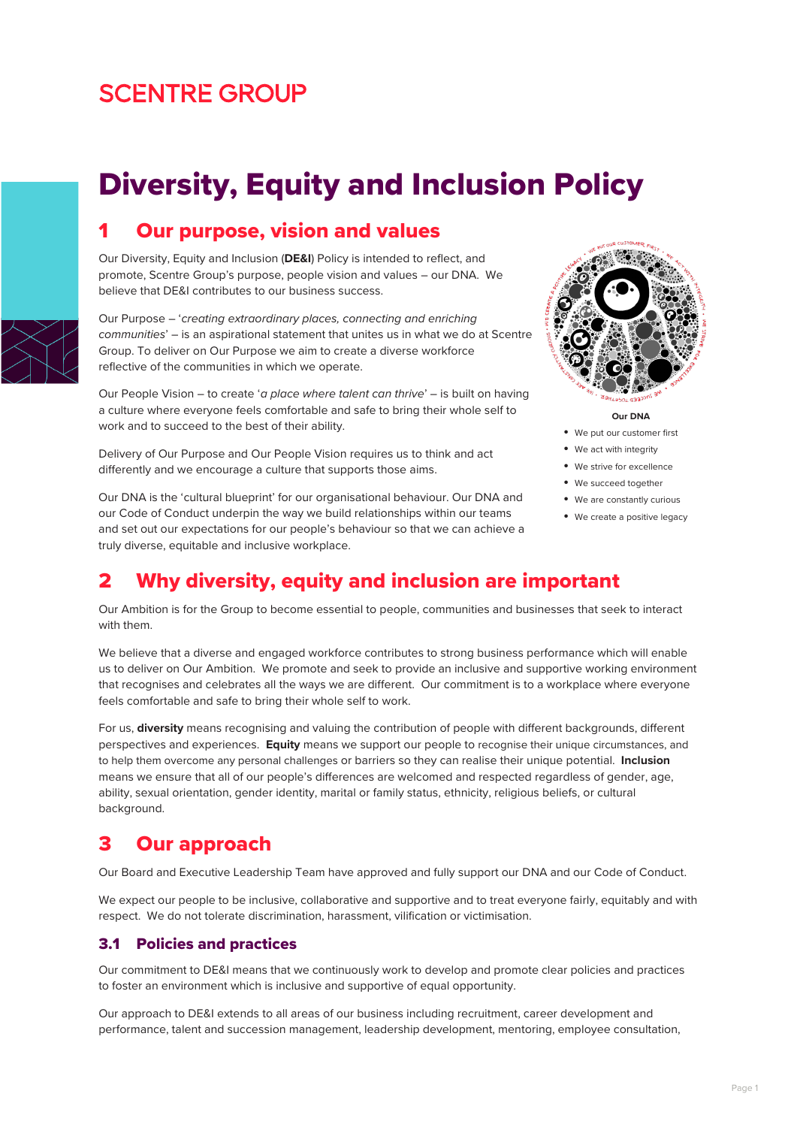## **SCENTRE GROUP**

# Diversity, Equity and Inclusion Policy



### **Our purpose, vision and values**

Our Diversity, Equity and Inclusion (**DE&I**) Policy is intended to reflect, and promote, Scentre Group's purpose, people vision and values – our DNA. We believe that DE&I contributes to our business success.

Our Purpose – '*creating extraordinary places, connecting and enriching communities*' – is an aspirational statement that unites us in what we do at Scentre Group. To deliver on Our Purpose we aim to create a diverse workforce reflective of the communities in which we operate.

Our People Vision – to create '*a place where talent can thrive*' – is built on having a culture where everyone feels comfortable and safe to bring their whole self to work and to succeed to the best of their ability.

Delivery of Our Purpose and Our People Vision requires us to think and act differently and we encourage a culture that supports those aims.

Our DNA is the 'cultural blueprint' for our organisational behaviour. Our DNA and our Code of Conduct underpin the way we build relationships within our teams and set out our expectations for our people's behaviour so that we can achieve a truly diverse, equitable and inclusive workplace.



**Our DNA** 

- We put our customer first
- We act with integrity
- We strive for excellence
- We succeed together
- We are constantly curious
- We create a positive legacy

### 2 Why diversity, equity and inclusion are important

Our Ambition is for the Group to become essential to people, communities and businesses that seek to interact with them.

We believe that a diverse and engaged workforce contributes to strong business performance which will enable us to deliver on Our Ambition. We promote and seek to provide an inclusive and supportive working environment that recognises and celebrates all the ways we are different. Our commitment is to a workplace where everyone feels comfortable and safe to bring their whole self to work.

For us, **diversity** means recognising and valuing the contribution of people with different backgrounds, different perspectives and experiences. **Equity** means we support our people to recognise their unique circumstances, and to help them overcome any personal challenges or barriers so they can realise their unique potential. **Inclusion** means we ensure that all of our people's differences are welcomed and respected regardless of gender, age, ability, sexual orientation, gender identity, marital or family status, ethnicity, religious beliefs, or cultural background.

### 3 Our approach

Our Board and Executive Leadership Team have approved and fully support our DNA and our Code of Conduct.

We expect our people to be inclusive, collaborative and supportive and to treat everyone fairly, equitably and with respect. We do not tolerate discrimination, harassment, vilification or victimisation.

#### 3.1 Policies and practices

Our commitment to DE&I means that we continuously work to develop and promote clear policies and practices to foster an environment which is inclusive and supportive of equal opportunity.

Our approach to DE&I extends to all areas of our business including recruitment, career development and performance, talent and succession management, leadership development, mentoring, employee consultation,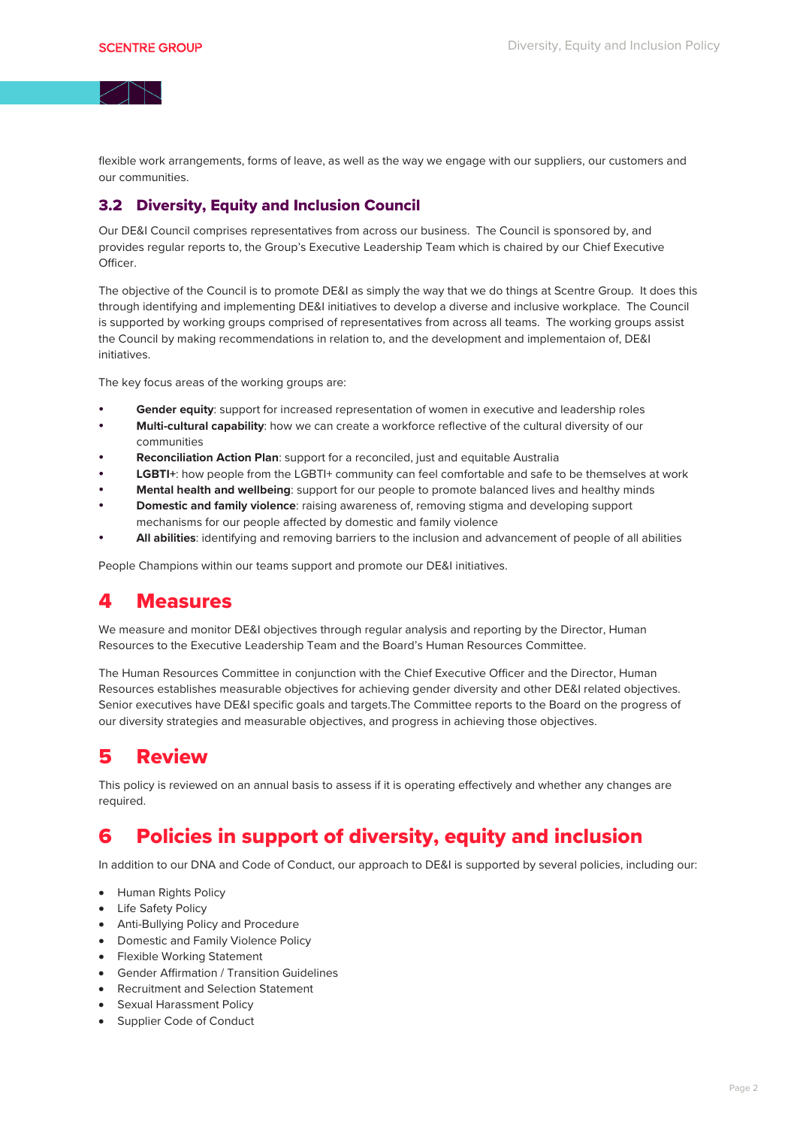flexible work arrangements, forms of leave, as well as the way we engage with our suppliers, our customers and our communities.

#### 3.2 Diversity, Equity and Inclusion Council

Our DE&I Council comprises representatives from across our business. The Council is sponsored by, and provides regular reports to, the Group's Executive Leadership Team which is chaired by our Chief Executive Officer.

The objective of the Council is to promote DE&I as simply the way that we do things at Scentre Group. It does this through identifying and implementing DE&I initiatives to develop a diverse and inclusive workplace. The Council is supported by working groups comprised of representatives from across all teams. The working groups assist the Council by making recommendations in relation to, and the development and implementaion of, DE&I initiatives.

The key focus areas of the working groups are:

- **Gender equity**: support for increased representation of women in executive and leadership roles
- **Multi-cultural capability**: how we can create a workforce reflective of the cultural diversity of our communities
- **Reconciliation Action Plan**: support for a reconciled, just and equitable Australia
- **LGBTI+**: how people from the LGBTI+ community can feel comfortable and safe to be themselves at work
- **Mental health and wellbeing**: support for our people to promote balanced lives and healthy minds
- **Domestic and family violence**: raising awareness of, removing stigma and developing support mechanisms for our people affected by domestic and family violence
- **All abilities**: identifying and removing barriers to the inclusion and advancement of people of all abilities

People Champions within our teams support and promote our DE&I initiatives.

### 4 Measures

We measure and monitor DE&I objectives through regular analysis and reporting by the Director, Human Resources to the Executive Leadership Team and the Board's Human Resources Committee.

The Human Resources Committee in conjunction with the Chief Executive Officer and the Director, Human Resources establishes measurable objectives for achieving gender diversity and other DE&I related objectives. Senior executives have DE&I specific goals and targets.The Committee reports to the Board on the progress of our diversity strategies and measurable objectives, and progress in achieving those objectives.

### 5 Review

This policy is reviewed on an annual basis to assess if it is operating effectively and whether any changes are required.

### 6 Policies in support of diversity, equity and inclusion

In addition to our DNA and Code of Conduct, our approach to DE&I is supported by several policies, including our:

- Human Rights Policy
- **Life Safety Policy**
- Anti-Bullying Policy and Procedure
- Domestic and Family Violence Policy
- Flexible Working Statement
- Gender Affirmation / Transition Guidelines
- Recruitment and Selection Statement
- Sexual Harassment Policy
- Supplier Code of Conduct